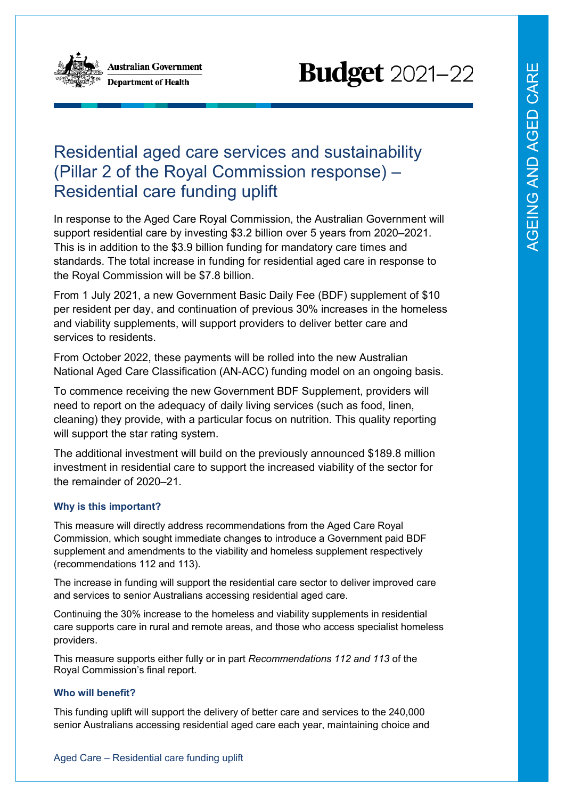

**Australian Government Department of Health** 



## Residential aged care services and sustainability (Pillar 2 of the Royal Commission response) – Residential care funding uplift

In response to the Aged Care Royal Commission, the Australian Government will support residential care by investing \$3.2 billion over 5 years from 2020–2021. This is in addition to the \$3.9 billion funding for mandatory care times and standards. The total increase in funding for residential aged care in response to the Royal Commission will be \$7.8 billion.

From 1 July 2021, a new Government Basic Daily Fee (BDF) supplement of \$10 per resident per day, and continuation of previous 30% increases in the homeless and viability supplements, will support providers to deliver better care and services to residents.

From October 2022, these payments will be rolled into the new Australian National Aged Care Classification (AN-ACC) funding model on an ongoing basis.

To commence receiving the new Government BDF Supplement, providers will need to report on the adequacy of daily living services (such as food, linen, cleaning) they provide, with a particular focus on nutrition. This quality reporting will support the star rating system.

The additional investment will build on the previously announced \$189.8 million investment in residential care to support the increased viability of the sector for the remainder of 2020–21.

## **Why is this important?**

This measure will directly address recommendations from the Aged Care Royal Commission, which sought immediate changes to introduce a Government paid BDF supplement and amendments to the viability and homeless supplement respectively (recommendations 112 and 113).

The increase in funding will support the residential care sector to deliver improved care and services to senior Australians accessing residential aged care.

Continuing the 30% increase to the homeless and viability supplements in residential care supports care in rural and remote areas, and those who access specialist homeless providers.

This measure supports either fully or in part *Recommendations 112 and 113* of the Royal Commission's final report.

## **Who will benefit?**

This funding uplift will support the delivery of better care and services to the 240,000 senior Australians accessing residential aged care each year, maintaining choice and